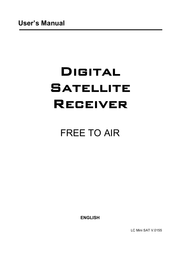# **Digital Satellite Receiver**

# FREE TO AIR

**ENGLISH**

LC Mini SAT V.0155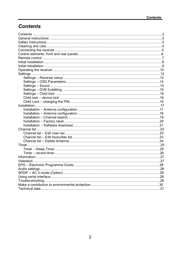# **Contents**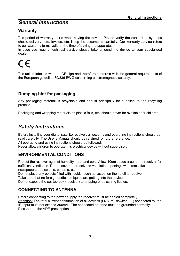# *General instructions*

### **Warranty**

The period of warranty starts when buying the device. Please verify the exact date by sales check, delivery note, invoice, etc. Keep the documents carefully. Our warranty service refers to our warranty terms valid at the time of buying the apparatus.

In case you require technical service please take or send the device to your specialised dealer.

 $\epsilon$ 

The unit is labelled with the CE-sign and therefore conforms with the general requirements of the European guideline 89/336 EWG concerning electromagnetic security.

### **Dumping hint for packaging**

Any packaging material is recyclable and should principally be supplied to the recycling process.

Packaging and wrapping materials as plastic foils, etc. should never be available for children.

# *Safety Instructions*

Before installing your digital satellite receiver, all security and operating instructions should be read carefully. The User's Manual should be retained for future reference. All operating and using instructions should be followed. Never allow children to operate this electrical device without supervisor.

### **ENVIRONMENTAL CONDITIONS**

Protect the receiver against humidity, heat and cold. Allow 10cm space around the receiver for sufficient ventilation. Do not cover the receiver's ventilation openings with items like newspapers, tablecloths, curtains, etc. .

Do not place any objects filled with liquids, such as vases, on the satellite-receiver.

Take care that no foreign bodies or liquids are getting into the device.

Do not expose the set-top-box (receiver) to dripping or splashing liquids.

### **CONNECTING TO ANTENNA**

Before connecting to the power supply the receiver must be cabled completely. Attention: The total current consumption of all devices (LNB, multiswitch, …) connected to the IF-Input must not exceed 300mA. The connected antenna must be grounded correctly. Please note the VDE prescriptions.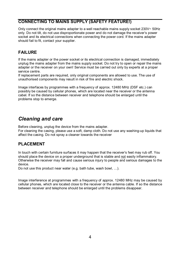### **CONNECTING TO MAINS SUPPLY (SAFETY FEATURE!)**

Only connect the original mains adapter to a well reachable mains supply socket  $230V \sim 50$ Hz only. Do not tilt, do not use disproportionate power and do not damage the receiver's power socket and its electrical connections when connecting the power cord. If the mains adapter should fail to fit, contact your supplier.

### **FAILURE**

If the mains adapter or the power socket or its electrical connection is damaged, immediately unplug the mains adapter from the mains supply socket. Do not try to open or repair the mains adapter or the receiver on your own! Service must be carried out only by experts at a proper service centre.

If replacement parts are required, only original components are allowed to use. The use of unauthorised components may result in risk of fire and electric shock.

Image interfaces by programmes with a frequency of approx. 12480 MHz (DSF etc.) can possibly be caused by cellular phones, which are located near the receiver or the antenna cabel. If so the distance between receiver and telephone should be enlarged until the problems stop to emerge.

# *Cleaning and care*

Before cleaning, unplug the device from the mains adapter. For cleaning the casing, please use a soft, damp cloth. Do not use any washing-up liquids that affect the casing. Do not spray a cleaner towards the receiver

### **PLACEMENT**

In touch with certain furniture surfaces it may happen that the receiver's feet may rub off. You should place the device on a proper underground that is stable and not easily inflammatory. Otherwise the receiver may fall and cause serious injury to people and serious damages to the device.

Do not use this product near water (e.g. bath tube, wash bowl, …).

Image interference at programmes with a frequency of approx. 12480 MHz may be caused by cellular phones, which are located close to the receiver or the antenna cable. If so the distance between receiver and telephone should be enlarged until the problems disappear.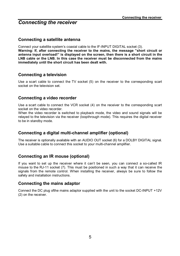# *Connecting the receiver*

#### **Connecting a satellite antenna**

Connect your satellite system's coaxial cable to the IF-INPUT DIGITAL socket (3).

**Warning: If, after connecting the receiver to the mains, the message "short circuit or antenna input overload!" is displayed on the screen, then there is a short circuit in the LNB cable or the LNB. In this case the receiver must be disconnected from the mains immediately until the short circuit has been dealt with.**

### **Connecting a television**

Use a scart cable to connect the TV socket (5) on the receiver to the corresponding scart socket on the television set.

#### **Connecting a video recorder**

Use a scart cable to connect the VCR socket (4) on the receiver to the corresponding scart socket on the video recorder.

When the video recorder is switched to playback mode, the video and sound signals will be relayed to the television via the receiver (loopthrough mode). This requires the digital receiver to be in standby mode.

### **Connecting a digital multi-channel amplifier (optional)**

The receiver is optionally available with an AUDIO OUT socket (6) for a DOLBY DIGITAL signal. Use a suitable cable to connect this socket to your multi-channel amplifier.

### **Connecting an IR mouse (optional)**

If you want to set up the receiver where it can't be seen, you can connect a so-called IR mouse to the RJ-11 socket (7). This must be positioned in such a way that it can receive the signals from the remote control. When installing the receiver, always be sure to follow the safety and installation instructions.

#### **Connecting the mains adaptor**

Connect the DC plug ofthe mains adaptor supplied with the unit to the socket DC-INPUT +12V (2) on the receiver.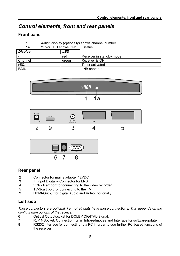# *Control elements, front and rear panels*

### **Front panel**

- 1 4-digit display (optionally) shows channel number
- 1a 2color LED shows ON/OFF status

| <b>Display</b> | LED   |                           |
|----------------|-------|---------------------------|
|                | red   | Receiver in standby mode. |
| Channel        | areen | Receiver is ON            |
| rEC.           |       | Timer activated           |
| <b>FAIL</b>    |       | LNB short cut             |







### **Rear panel**

- 2 Connector for mains adapter 12VDC<br>3 IF Input Digital Connector for LNB
- 3 IF Input Digital Connector for LNB<br>4 VCR-Scart port for connecting to the
- VCR-Scart port for connecting to the video recorder
- 5 TV-Scart port for connecting to the TV
- 9 HDMI-Output for digital Audio and Video (optionally)

### **Left side**

*These connectors are optional. i.e. not all units have these connections. This depends on the configuration options of the receiver.*

- 6 Optical Outputsocket for DOLBY DIGITAL-Signal.<br>The R.I-11-Socket: Connection for an Infraredmouse a
- 7 RJ-11-Socket: Connection for an Infraredmouse and Interface for softwareupdate
- RS232 interface for connecting to a PC in order to use further PC-based functions of the receiver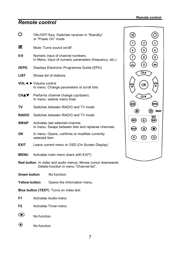# *Remote control*

| ტ                    |                                                                                         | ON-/OFF-Key: Switches receiver in "Standby"<br>or "Power On" mode                                              |
|----------------------|-----------------------------------------------------------------------------------------|----------------------------------------------------------------------------------------------------------------|
| α                    |                                                                                         | Mute: Turns sound on/off                                                                                       |
| 0-9                  |                                                                                         | Numeric input of channel numbers.<br>In Menu: Input of numeric parameters (frequency, etc.)                    |
| i/EPG                |                                                                                         | Displays Electronic Programme Guide (EPG)                                                                      |
| LIST                 |                                                                                         | Shows list of stations.                                                                                        |
|                      | VOL◀ ► Volume control                                                                   | In menu: Change parameters or scroll lists                                                                     |
| CHAVI                |                                                                                         | Performs channel change (up/down).<br>In menu: selects menu lines                                              |
| TV                   |                                                                                         | Switches between RADIO and TV mode                                                                             |
| RADIO                |                                                                                         | Switches between RADIO and TV mode                                                                             |
| SWAP                 | Activates last selected channel.<br>In menu: Swaps between lists and replaces channels. |                                                                                                                |
| OK.                  | selected item                                                                           | In menu: Opens, confirms or modifies currently                                                                 |
| EXIT                 |                                                                                         | Leave current menu or OSD (On Screen Display)                                                                  |
| MENU                 |                                                                                         | Activates main menu (back with EXIT)                                                                           |
|                      |                                                                                         | <b>Red button</b> In video and audio menus: Moves cursor downwards.<br>Delete-function in menu "Channel list". |
| Green button         |                                                                                         | No function.                                                                                                   |
| <b>Yellow button</b> |                                                                                         | Opens the information menu.                                                                                    |
|                      |                                                                                         | <b>Blue button (TEXT)</b> Turns on video text                                                                  |
| F1                   |                                                                                         | Activates Audio-menu                                                                                           |
| F2                   |                                                                                         | Activates Timer-menu                                                                                           |

- $\bigcirc$ No function
- $\odot$ No function



 $\textcircled{\tiny 2}\oplus\textcircled{\tiny 3}$ 

**(MBN)** 

SWAP  $\overline{\mathbb{B}}$ 

 $\textcircled{\small{1}}$ 

 $^{\circledR}$ 

 $\begin{picture}(120,15) \put(0,0){\line(1,0){15}} \put(15,0){\line(1,0){15}} \put(15,0){\line(1,0){15}} \put(15,0){\line(1,0){15}} \put(15,0){\line(1,0){15}} \put(15,0){\line(1,0){15}} \put(15,0){\line(1,0){15}} \put(15,0){\line(1,0){15}} \put(15,0){\line(1,0){15}} \put(15,0){\line(1,0){15}} \put(15,0){\line(1,0){15}} \put(15,0){\line($ 

 $G_{\mathbf{A}}$ 

 $(\alpha$ 

 $\widetilde{\mathbb{C}}$ 

 $\odot$ 

 $\circledv$ 

 $\bigcirc$ 

 $\circledS$ 

◉

 $\textcircled{\small{\textcirc}}$ 

 $\boldsymbol{\Theta}$ 

☜

 $\circledR$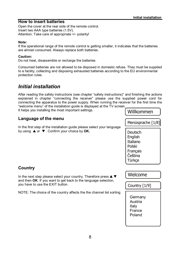#### **How to insert batteries**

Open the cover at the rear side of the remote control. Insert two AAA type batteries (1.5V). Attention: Take care of appropriate +/- polarity!

#### **Note:**

If the operational range of the remote control is getting smaller, it indicates that the batteries are almost consumed. Always replace both batteries.

#### **Caution:**

Do not heat, disassemble or recharge the batteries.

Consumed batteries are not allowed to be disposed in domestic refuse. They must be supplied to a facility, collecting and disposing exhausted batteries according to the EU environmental protection rules.

# *Initial installation*

After reading the safety instructions (see chapter "safety instructions)" and finishing the actions explained in chapter "connecting the receiver" please use the supplied power cord for connecting the apparatus to the power supply. When running the receiver for the first time the "welcome menu" of the installation guide is displayed at the TV screen.

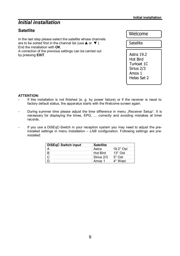# *Initial installation*

### **Satellite**

In the last step please select the satellite whose channels are to be sorted first in the channel list (use  $\blacktriangle$  or  $\nabla$ ). End the installation with **OK**. A correction of the previous settings can be carried out by pressing **EXIT**.

Welcome

**Satellite** 

Astra 19.2 Hot Bird Turksat 1C Sirius 2/3 Amos 1 Helas Sat 2

#### **ATTENTION:**

- If this installation is not finished (e. g. by power failure) or if the receiver is reset to factory default status, the apparatus starts with the Welcome screen again.
- During summer time please adjust the time difference in menu "Receiver Setup". It is necessary for displaying the times, EPG, … correctly and avoiding mistakes at timer records.
- If you use a DiSEqC-Switch in your reception system you may need to adjust the preinstalled settings in menu *Installation* – *LNB configuration*. Following settings are preinstalled:

| DiSEqC Switch input | <b>Satellite</b> |                  |
|---------------------|------------------|------------------|
|                     | Astra            | $19.2^\circ$ Ost |
| $\overline{B}$      | <b>Hot Bird</b>  | $13^\circ$ Ost   |
|                     | Sirius 2/3       | $5^\circ$ Ost    |
|                     | Amos 1           | $4^\circ$ West   |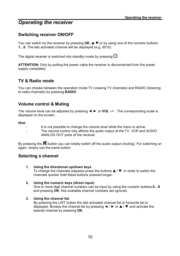# *Operating the receiver*

### **Switching receiver ON/OFF**

You can switch on the receiver by pressing  $OK. \triangle \blacktriangledown$  or by using one of the numeric buttons **1…0**. The last activated channel will be displayed (e.g. 0015).

The digital receiver is switched into standby mode by pressing  $\mathcal{O}$ 

**ATTENTION:** Only by pulling the power cable the receiver is disconnected from the power supply completely.

### **TV & Radio mode**

You can choose between the operation mode TV (viewing TV channels) and RADIO (listening to radio channels) by pressing **RADIO**.

### **Volume control & Muting**

The volume level can be adjusted by pressing ◄ ► or **VOL** -/+ . The corresponding scale is displayed on the screen.

#### **Hint:**

- It is not possible to change the volume level while the menu is active.
- The volume control only affects the audio output at the TV, VCR and AUDIO ANALOG OUT ports of the receiver.

By pressing the  $\mathbb X$  button you can totally switch off the audio output (muting). For switching on again, simply use the same button.

### **Selecting a channel**

- **1. Using the directional up/down keys** To change the channels stepwise press the buttons  $\blacktriangle / \blacktriangledown$ . In order to switch the channels quicker hold these buttons pressed longer.
- **2. Using the numeric keys (direct input)** One or more digit channel numbers can be input by using the numeric buttons **0…9** and pressing **OK**. Not available channel numbers are ignored.

#### **3. Using the channel list**

By pressing the LIST button the last activated channel list or favourite list is displayed. Browse the channel list by pressing  $\blacktriangleleft / \blacktriangleright$  or  $\blacktriangle/ \blacktriangledown$  and activate the desired channel by pressing **OK**.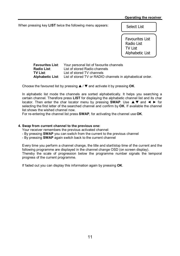#### **Operating the receiver**

When pressing key **LIST** twice the following menu appears:

Select List

Favourites List Radio List TV List Alphabetic List

**Favourites List**: Your personal list of favourite channels **Radio List**: List of stored Radio channels **TV List**: List of stored TV channels **Alphabetic List**: List of stored TV or RADIO channels in alphabetical order.

Choose the favoured list by pressing  $\triangle$  /  $\nabla$  and activate it by pressing OK.

In alphabetic list mode the channels are sorted alphabetically. It helps you searching a certain channel. Therefore press **LIST** for displaying the alphabetic channel list and its char locator. Then enter the char locator menu by pressing **SWAP**. Use  $\blacktriangle \blacktriangledown$  and  $\blacktriangle \blacktriangleright$  for selecting the first letter of the searched channel and confirm by **OK**. If available the channel list shows the wished channel now.

For re-entering the channel list press **SWAP**, for activating the channel use **OK**.

#### **4. Swap from current channel to the previous one:**

Your receiver remembers the previous activated channel:

- By pressing **SWAP** you can switch from the current to the previous channel
- By pressing **SWAP** again switch back to the current channel

Every time you perform a channel change, the title and start/stop time of the current and the following programme are displayed in the channel change OSD (on screen display). Thereby the scale of progression below the programme number signals the temporal progress of the current programme.

If faded out you can display this information again by pressing **OK**.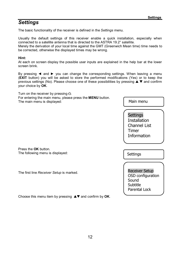# *Settings*

The basic functionality of the receiver is defined in the *Settings* menu.

Usually the default settings of this receiver enable a quick installation, especially when connected to a satellite antenna that is directed to the ASTRA 19.2° satellite.

Merely the derivation of your local time against the GMT (Greenwich Mean time) time needs to be corrected, otherwise the displayed times may be wrong.

#### **Hint:**

At each on screen display the possible user inputs are explained in the help bar at the lower screen brink.

By pressing ◄ and ► you can change the corresponding settings. When leaving a menu (**EXIT** button) you will be asked to store the performed modifications (Yes) or to keep the previous settings (No). Please choose one of these possibilities by pressing  $\triangle \blacktriangledown$  and confirm your choice by **OK**.

| Turn on the receiver by pressing $\circlearrowleft$ .                                           |                                                                                  |
|-------------------------------------------------------------------------------------------------|----------------------------------------------------------------------------------|
| For entering the main menu, please press the <b>MENU</b> button.<br>The main menu is displayed: | Main menu                                                                        |
|                                                                                                 | Settings<br>Installation<br>Channel List<br>Timer<br>Information                 |
| Press the OK button.<br>The following menu is displayed:                                        | Settings                                                                         |
| The first line Receiver Setup is marked.                                                        | <b>Receiver Setup</b><br>OSD configuration<br>Sound<br>Subtitle<br>Parental Lock |
| Choose this menu item by pressing $\triangle \blacktriangledown$ and confirm by OK.             |                                                                                  |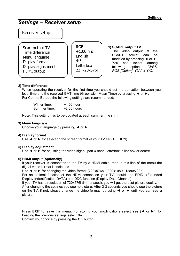# *Settings – Receiver setup*

#### Receiver setup

Scart output TV Time difference Menu language Display format Display adjustment HDMI output

RGB  $+1.00$  hrs **English** 4:3 Letterbox 22\_720x576i

**1) SCART output TV** The video output at the SCART socket can be modified by pressing ◄ or ►. You can select among following options: *CVBS*, *RGB [Option]*, *YUV* or *Y/C*.

#### **2) Time difference**

When operating the receiver for the first time you should set the derivation between your local time and the received GMT time (Greenwich Mean Time) by pressing ◄ or ►. For Central Europe the following settings are recommended:

| Winter time: | $+1.00$ hour  |
|--------------|---------------|
| Summer time: | $+2.00$ hours |

**Note:** This setting has to be updated at each summertime shift.

#### **3) Menu language**

Choose your language by pressing ◄ or ►.

#### **4) Display format**

Use ◀ or ► for selecting the screen format of your TV set (4:3, 16:9).

#### **5) Display adjustment**

Use < or ► for adjusting the video signal: pan & scan, letterbox, pillar box or centre.

#### **6) HDMI output (optionally)**

If your receiver is connected to the TV by a HDMI-cable, than in this line of the menu the digital video-format is indicated.

Use ◄ or ► for changing the video-format (720x576p, 1920x1080i, 1280x720p).

For an optimal function of the HDMI-connection your TV should use EDID- (Extended Display Indentification DATA) and DDC-function (Display Data Channel).

If your TV has a resolution of 720x576i (i=interlaced), you will get the best picture quality.

After changing the settings you see no picture. After 2-3 seconds you should see the picture on the TV, if not, please change the video-format by using ◄ or ► until you can see a picture.

Press **EXIT** to leave this menu. For storing your modifications select **Yes** (◄ or ►), for keeping the previous settings select **No**.

Confirm your choice by pressing the **OK** button.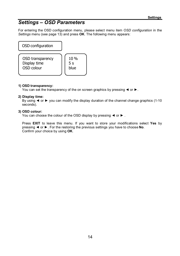# *Settings – OSD Parameters*

For entering the OSD configuration menu, please select menu item *OSD configuration* in the *Settings* menu (see page 13) and press **OK**. The following menu appears:

OSD configuration OSD transparency Display time OSD colour 10 % 5 s blue

#### **1) OSD transparency:**

You can set the transparency of the on screen graphics by pressing ◄ or ►.

#### **2) Display time:**

By using ◄ or ► you can modify the display duration of the channel change graphics (1-10 seconds).

#### **3) OSD colour:**

You can choose the colour of the OSD display by pressing ◄ or ► .

Press **EXIT** to leave this menu. If you want to store your modifications select **Yes** by pressing ◄ or ►. For the restoring the previous settings you have to choose **No**. Confirm your choice by using **OK**.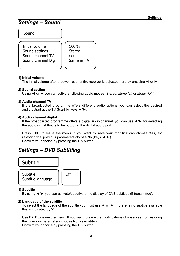## *Settings – Sound*

Sound



100 % Stereo deu Same as TV

#### **1) Initial volume**

The initial volume after a power reset of the receiver is adjusted here by pressing  $\triangleleft$  or  $\blacktriangleright$ .

#### **2) Sound setting**

Using ◄ or ► you can activate following audio modes: *Stereo*, *Mono left* or *Mono right.*

#### **3) Audio channel TV**

If the broadcasted programme offers different audio options you can select the desired audio output at the TV Scart by keys ◄/►.

#### **4) Audio channel digital**

If the broadcasted programme offers a digital audio channel, you can use ◄/► for selecting the audio signal that is to be output at the digital audio port.

Press **EXIT** to leave the menu. If you want to save your modifications choose **Yes**, for restoring the previous parameters choose **No** (keys ◄/►). Confirm your choice by pressing the **OK** button.

# *Settings – DVB Subtitling*



#### **1) Subtitle**

By using ◄/► you can activate/deactivate the display of DVB subtitles (if transmitted).

#### **2) Language of the subtitle**

To select the language of the subtitle you must use ◄ or ►. If there is no subtitle available this is indicated by "-".

Use **EXIT** to leave the menu. If you want to save the modifications choose **Yes**, for restoring the previous parameters choose **No** (keys ◄/►). Confirm your choice by pressing the **OK** button.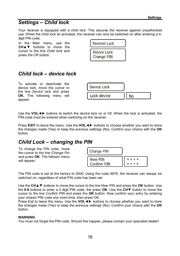# *Settings – Child lock*

Your receiver is equipped with a child lock. This secures the receiver against unauthorised use. When the child lock ist activated, the receiver can only be switched on after entering a 4 digit PIN code.

In the Main menu, use the **CH**▲▼ buttons to move the cursor to the line *Child lock* and press the *OK* button.

| Parental Lock             |  |
|---------------------------|--|
| Device Lock<br>Change PIN |  |

# *Child lock – device lock*

To activate or deactivate the device lock, move the cursor to the line *Device* lock and press **OK.** The following menu will appear:



Use the **VOL**◄► buttons to switch the device lock on or fof. When the lock is activated, the PIN code must be entered when switching on the receiver.

Press **EXIT** to leave the menu. Use the **VOL**◄► buttons to choose whether you want to store the changes made (Yes) or keep the previous settings (No). Confirm your choice with the **OK** button.

# *Child Lock – changing the PIN*

To change the PIN code, move the cursor to the line *Change Pin* and press **OK**. The followin menu will appear:



The PIN code is set at the factory to *0000*. Using the code *9976*, the receiver can always be switched on, regardless of what PIN code has been set.

Use the **CH**▲▼ buttons to move the cursor to the line *New PIN* and press the **OK** button. Use the **0-9** buttons to enter a 4 digit PIN code, the press **OK**. Use the **CH**▼ button to move the cursor to the line *Confirm PIN* and press the **OK** button. Now confirm your entry by entering your chosen PIN code one more time, then press OK.

Press Exit to leave the menu. Use the **VOL**◄► buttons to choose whether you want to store the changes made (Yes) or keep the previous settings (No). Confirm your choice with the **OK** button.

#### **WARNING**

You must not forget the PIN code. Should this happen, please contact your specialist dealer!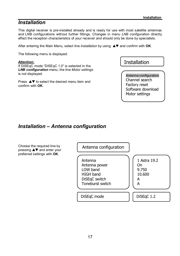# *Installation*

This digital receiver is pre-installed already and is ready for use with most satellite antennas and LNB configurations without further fittings. Changes in menu *LNB configuration* directly effect the reception characteristics of your receiver and should only be done by specialists.

After entering the Main Menu, select line *Installation* by using  $\blacktriangle \blacktriangledown$  and confirm with OK.

The following menu is displayed:

#### **Attention:**

If DiSEqC mode "DiSEqC 1.0" is selected in the *LNB configuration* menu, the line *Motor settings* is not displayed.

Press  $\triangle \blacktriangledown$  to select the desired menu item and confirm with **OK**.

Antenna configuration Channel search Factory reset Software download Motor settings

# *Installation – Antenna configuration*

| Choose the required line by<br>pressing ▲▼ and enter your<br>preferred settings with OK. | Antenna configuration                                                                         |                                                  |
|------------------------------------------------------------------------------------------|-----------------------------------------------------------------------------------------------|--------------------------------------------------|
|                                                                                          | Antenna<br>Antenna power<br>LOW band<br><b>HIGH band</b><br>DiSEqC switch<br>Toneburst switch | 1 Astra 19.2<br>On.<br>9.750<br>10.600<br>А<br>А |
|                                                                                          | DiSEqC mode                                                                                   | DiSEqC 1.2                                       |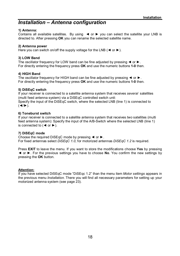## *Installation – Antenna configuration*

#### **1) Antenna:**

Contains all available satellites. By using ◄ or ► you can select the satellite your LNB is directed to. After pressing **OK** you can rename the selected satellite name.

#### **2) Antenna power**

Here you can switch on/off the supply voltage for the LNB ( $\blacktriangleleft$  or  $\blacktriangleright$ ).

#### **3) LOW Band**

The oscillator frequency for LOW band can be fine adjusted by pressing ◄ or ►. For directly entering the frequency press **OK** and use the numeric buttons **1-0** then.

#### **4) HIGH Band**

The oscillator frequency for HIGH band can be fine adjusted by pressing ◄ or ►. For directly entering the frequency press **OK** and use the numeric buttons **1-0** then.

#### **5) DiSEqC switch**

If your receiver is connected to a satellite antenna system that receives *several* satellites (multi feed antenna system) via a DiSEqC controlled switch unit:

Specify the input of the DiSEqC switch, where the selected LNB (line 1) is connected to  $(\blacktriangleleft/\blacktriangleright)$ .

#### **6) Toneburst switch**

If your receiver is connected to a satellite antenna system that receives *two* satellites (multi feed antenna system): Specify the input of the A/B-Switch where the selected LNB (line 1) is connected to ( $\blacktriangleleft$  or  $\blacktriangleright$ ).

#### **7) DiSEqC mode**

Choose the required DiSEqC mode by pressing ◄ or ►. For fixed antennas select *DiSEqC 1.0*, for motorized antennas *DiSEqC 1.2* is required.

Press **EXIT** to leave the menu. If you want to store the modifications choose **Yes** by pressing ◄ or ►. For the previous settings you have to choose **No**. You confirm the new settings by pressing the **OK** button.

#### **Attention:**

If you have selected DiSEqC mode "DiSEqc 1.2" than the menu item *Motor settings* appears in the previous menu *Installation*. There you will find all necessary parameters for setting up your motorized antenna system (see page 23).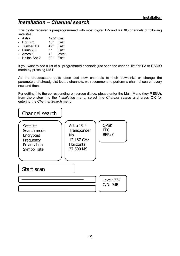# *Installation – Channel search*

This digital receiver is pre-programmed with most digital TV- and RADIO channels of following satellites:

- Astra 19.2° East.
- Hot Bird 13° East.
- Türksat 1C 42° Fast
- Sirius  $2/3$  5° East,<br>- Amos 1 4° West
- Amos  $1$
- Hellas Sat 2 39° Fast

If you want to see a list of all programmed channels just open the channel list for TV or RADIO mode by pressing **LIST**.

As the broadcasters quite often add new channels to their downlinks or change the parameters of already distributed channels, we recommend to perform a channel search every now and then.

For getting into the corresponding on screen dialog, please enter the Main Menu (key **MENU**); from there step into the *Installation* menu, select line *Channel search* and press **OK** for entering the *Channel Search* menu:

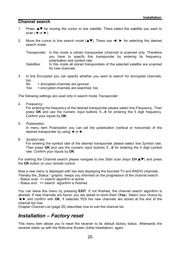#### **Channel search**

- 1. Press  $\triangle \blacktriangledown$  for moving the cursor to line *satellite*. There select the satellite you want to scan  $($   $\blacktriangleleft$  or  $\blacktriangleright$ ).
- 2. Move the cursor to line *search mode* ( $\blacktriangle$ **)**. There use  $\blacktriangleleft$   $\blacktriangleright$  for selecting the desired search mode.

*Transponder*: In this mode a certain transponder (channel) is scanned only. Therefore you have to specify this transponder by entering its frequency, polarisation and symbol rate.

- *Satellites*: In this mode all stored transponders of the selected satellite are scanned for new channels.
- 3. In line *Encrypted* you can specify whether you want to search for encrypted channels, too.

*No* = encrypted channels are ignored

*Yes* = encrypted channels are searched, too

The following settings are used only in search mode *Transponder*.

4. *Frequency:*

For entering the frequency of the desired transponder please select line *Frequency*. Then press **OK** and use the numeric input buttons **1…0** for entering the 5 digit frequency. Confirm your inputs by **OK**.

5. *Polarisation:*

In menu item *Polarisation* you can set the polarisation (vertical or horizontal) of the desired transponder by using ◄ or ►.

6. *Symbol rate:*

For entering the symbol rate of the desired transponder please select line *Symbol rate*. Then press **OK** and use the numeric input buttons **1…0** for entering the 5 digit symbol rate. Confirm your inputs by **OK**.

For starting the Channel search please navigate to line *Start scan (keys CH*  $\blacktriangle$ ) and press the **OK** button on your remote control.

Now a new menu is displayed with two lists displaying the founded TV and RADIO channels. Thereby the "Status:" graphic keeps you informed on the progression of the channel search:

- Status *scan* => search algorithm is active

- Status *end* => search algorithm is finished

You can leave this menu by pressing **EXIT**. If not finished, the channel search algorithm is aborted. If new channels are found, you are asked to store them (**Yes**). Select your choice by ◄/► and confirm with **OK**. If selected YES the new channels are stored at the end of the channel list now.

Chapter *Channel List* (page 25) describes how to sort the channel list.

# *Installation – Factory reset*

This menu item allows you to reset the receiver to its default factory status. Afterwards the receiver starts up with the Welcome Screen (initial installation) again.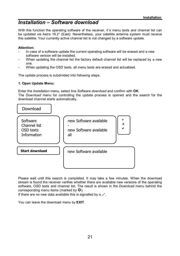# *Installation – Software download*

With this function the operating software of the receiver, it's menu texts and channel list can be updated via Astra 19.2" (East). Nevertheless, your satellite antenna system must receive this satellite. Your currently active channel list is not changed by a software update.

#### **Attention:**

- In case of a software update the current operating software will be erased and a new software version will be installed.
- When updating the channel list the factory default channel list will be replaced by a new one.
- When updating the OSD texts, all menu texts are erased and actualised.

The update process is subdivided into following steps:

#### **1. Open Update Menu:**

Enter the *Installation* menu, select line *Software download* and confirm with **OK**. The *Download* menu for controlling the update process is opened and the search for the download channel starts automatically.



Please wait until this search is completed. It may take a few minutes. When the download stream is found the receiver verifies whether there are available new versions of the operating software, OSD texts and channel list. The result is shown in the *Download* menu behind the corresponding menu items (marked by  $\mathbf{\Omega}$ ).

If there are no new data available this is signalled by a "-".

You can leave the download menu by **EXIT**.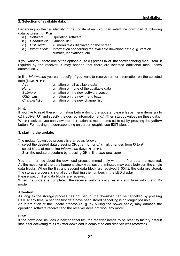#### **2. Selection of available data:**

Depending on their availability in the update stream you can select the download of following data by pressing  $\nabla \triangle$ :<br>a.) Software:

- a.) *Software*: Operating software
- b.) *Channel list*: Channel list
- c.) *OSD texts*: All menu texts displayed on the screen
- d.) *Information*: Information concerning the available download data e. g. version number, innovations, etc...

If you want to update one of the options a.) to c.) press **OK** at the corresponding menu item. If required by the receiver, it may happen that there are selected additional menu items automatically.

In line *Information* you can specify, if you want to receive further information on the selected data (keys  $\blacktriangleleft \blacktriangleright$ ):

| All:          | Information on all available data         |
|---------------|-------------------------------------------|
| None:         | Information on none of the available data |
| Software:     | Information on the new software version.  |
| OSD texts:    | Information on the new menu texts.        |
| Channel list: | Information on the new channel list.      |

#### **Hint:**

If you like to read these information before doing the update, please leave menu items a.) to c.) inactive ( $\odot$ ) and specify the desired information at d.). Then start downloading these data. When received, you can view the information at menu items a.) to c.) by pressing the **yellow** button. For leaving the corresponding on screen graphic use **EXIT** please.

#### **3. starting the update:**

The update-/download process is started as follows:

- select the desired data pressing **OK** at a.), b.) or c.) (mark changes from  $\mathbf{Q}$  to  $\checkmark$ )
- select *None* at menu line *Information* (keys ◄ or ►).
- Start the update procedure by pressing **OK** in line *start download*.

operating software receiver and the receiver does not work any more!

You are informed about the download process immediately when the first data are received. As the reception of the data happens blockwise, several minutes may pass between the single data blocks. When the first and second data block are received (100%), the data are stored. The storage process is signalled by flashing the numbers in the LED display.

Please wait until all data blocks are received.

When the update is completed, the receiver automatically restarts and turns into Stand By mode.

#### **Attention:**

As long as the storage process has not begun, the download can be cancelled by pressing **EXIT** at any time. When the first data have been stored cancelling is no longer possible. An interruption of the update process (e. g. by pulling the power cable) may damage the

**Hint:**

If the download includes a new channel list, the receiver needs to be reset to factory default status for activating this list (after download is completed and receiver was restarted).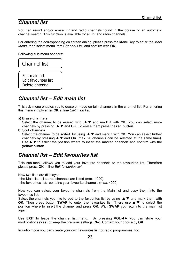# *Channel list*

You can resort and/or erase TV and radio channels found in the course of an automatic channel search. This function is available for all TV and radio channels.

For entering the corresponding on screen dialog, please press the **Menu** key to enter the *Main Menu*, then select menu item *Channel List* and confirm with **OK**.

Following sub-menu appears:

### Channel list

Edit main list Edit favourites list Delete antenna

### *Channel list – Edit main list*

This sub-menu enables you to erase or move certain channels in the channel list. For entering this menu simply enter **OK** at line *Edit main list*.

#### **a) Erase channels**

Select the channel to be erased with  $\blacktriangle \blacktriangledown$  and mark it with **OK.** You can select more channels by pressing  $\triangle \blacktriangledown$  and **OK**. To erase them press the **red button**.

**b) Sort channels**

Select the channel to be sorted by using  $\blacktriangle \blacktriangledown$  and mark it with **OK**. You can select further channels by pressing  $\triangle \blacktriangledown$  and **OK** (max. 20 channels can be selected at the same time). Use  $\blacktriangle \blacktriangledown$  to select the position where to insert the marked channels and confirm with the **yellow button.**

### *Channel list – Edit favourites list*

This sub-menu allows you to add your favourite channels to the favourites list. Therefore please press **OK** in line *Edit favourites list*.

Now two lists are displayed:

- the Main list: all stored channels are listed (max. 4000).

- the favourites list: contains your favourite channels (max. 4000).

Now you can select your favourite channels from the Main list and copy them into the favourites list:

Select the channels you like to add to the favourites list by using  $\blacktriangle \blacktriangledown$  and mark them with **OK.** Then press button **SWAP** to enter the favourites list. There use  $\blacktriangle \blacktriangledown$  to select the position where to insert the channel and press **OK**. With **SWAP** you return to the main list again.

Use **EXIT** to leave the channel list menu. By pressing **VOL**◄► you can store your modifications (**Yes**) or keep the previous settings (**No**)**.** Confirm your choice by **OK**.

In radio mode you can create your own favourites list for radio programmes, too.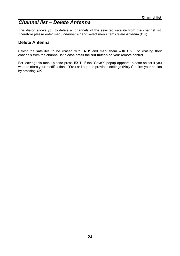# *Channel list – Delete Antenna*

This dialog allows you to delete all channels of the selected satellite from the channel list. Therefore please enter menu *channel list* and select menu item *Delete Antenna* (**OK**).

#### **Delete Antenna**

Select the satellites to be erased with  $\blacktriangle \blacktriangledown$  and mark them with OK. For erasing their channels from the channel list please press the **red button** on your remote control.

For leaving this menu please press **EXIT**. If the "Save?" popup appears, please select if you want to store your modifications (**Yes**) or keep the previous settings (**No**)**.** Confirm your choice by pressing **OK**.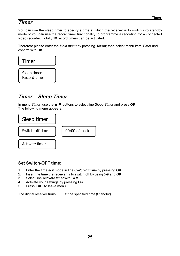# *Timer*

You can use the sleep timer to specify a time at which the receiver is to switch into standby mode or you can use the record timer functionality to programme a recording for a connected video recorder. Totally 10 record timers can be activated.

Therefore please enter the *Main menu* by pressing **Menu**; then select menu item *Timer* and confirm with **OK**.



# *Timer – Sleep Timer*

In menu *Timer* use the ▲ ▼ buttons to select line *Sleep Timer* and press OK. The following menu appears:



### **Set Switch-OFF time:**

- 1. Enter the time edit mode in line *Switch-off time* by pressing **OK**
- 2. Insert the time the receiver is to switch off by using **0**-**9** and **OK**
- Select line *Activate timer* with **AV**
- 4. Activate your settings by pressing **OK**
- 5. Press **EXIT** to leave menu.

The digital receiver turns OFF at the specified time (Standby).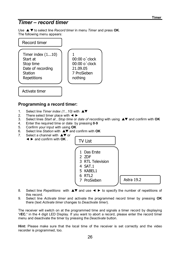### *Timer – record timer*

Use ▲▼ to select line *Record timer* in menu *Timer* and press OK. The following menu appears:



# **Programming a record timer:**

- 1. Select line *Timer index* (1...10) with **AV**
- 2. There select timer place with  $\blacktriangleleft \blacktriangleright$ <br>3. Select lines *Start at Stop time* or
- 3. Select lines *Start at* , *Stop time* or *date of recording* with using st and confirm with **OK**
- 4. Enter the required time or date by pressing **0**-**9**
- 5. Confirm your input with using **OK**
- **Select line Station with A▼ and confirm with OK**
- 7. Select a channel with  $\triangle \blacktriangledown$  or
	- ◄ ► and confirm with **OK** .

TV List 1 Das Erste 2 ZDF 3 RTL Television 4 SAT.1 5 KABEL1 6 RTL2 7 ProSieben Astra 19.2

- 8. Select line *Repetitions* with **AV** and use ◀ ► to specify the number of repetitions of this record.
- 9. Select line *Activate timer* and activate the programmed record timer by pressing **OK** there (text *Activate timer* changes to *Deactivate timer*).

The receiver will switch on at the programmed time and signals a timer record by displaying "**rEC.**" in the 4 digit LED Display. If you want to abort a record, please enter the record timer menu and deactivate the timer by pressing the *Deactivate* button.

**Hint:** Please make sure that the local time of the receiver is set correctly and the video recorder is programmed, too.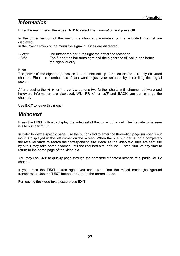# *Information*

Enter the main menu, there use  $\triangle \blacktriangledown$  to select line *Information* and press **OK**.

In the upper section of the menu the channel parameters of the activated channel are displayed.

In the lower section of the menu the signal qualities are displayed.

- *Level:* The further the bar turns right the better the reception.<br>- *C/N*: The further the bar turns right and the higher the dB va
- The further the bar turns right and the higher the dB value, the better the signal quality.

#### **Hint:**

The power of the signal depends on the antenna set up and also on the currently activated channel. Please remember this if you want adjust your antenna by controlling the signal power.

After pressing the ◄ ► or the **yellow** buttons two further charts with channel, software and hardware information are displayed. With **PR**  $+/-$  or  $\blacktriangle$  and **BACK** you can change the channel.

Use **EXIT** to leave this menu.

### *Videotext*

Press the **TEXT** button to display the videotext of the current channel. The first site to be seen is site number "100".

In order to view a specific page, use the buttons **0-9** to enter the three-digit page number. Your input is displayed in the left corner on the screen. When the site number is input completely the receiver starts to search the corresponding site. Because the video text sites are sent site by site it may take some seconds until the required site is found. Enter "100" at any time to return to the home page of the videotext.

You may use  $\triangle^{\blacktriangledown}$  to quickly page through the complete videotext section of a particular TV channel.

If you press the **TEXT** button again you can switch into the mixed mode (background transparent). Use the **TEXT** button to return to the normal mode.

For leaving the video text please press **EXIT**.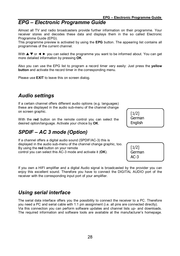# *EPG – Electronic Programme Guide*

Almost all TV and radio broadcasters provide further information on their programme. Your receiver stores and decodes these data and displays them in the so called Electronic Programme Guide (EPG).

This programme preview is activated by using the **EPG** button. The appearing list contains all programmes of the current channel.

With  $\blacktriangle \blacktriangledown$  or  $\blacktriangle \blacktriangleright$  you can select the programme you want to be informed about. You can get more detailed information by pressing **OK**.

Also you can use the EPG list to program a record timer very easily: Just press the **yellow button** and activate the record timer in the corresponding menu.

Please use **EXIT** to leave this on screen dialog.

# *Audio settings*

If a certain channel offers different audio options (e.g. languages) these are displayed in the audio sub-menu of the channel change on screen graphic.

With the **red** button on the remote control you can select the desired option/language. Activate your choice by **OK**.

# *SPDIF – AC 3 mode (Option)*

If a channel offers a digital audio sound (SPDIF/AC-3) this is displayed in the audio sub-menu of the channel change graphic, too. By using the **red** button on your remote control you can select this AC-3 mode and activate it (**OK**).

If you own a HIFI amplifier and a digital Audio signal is broadcasted by the provider you can enjoy this excellent sound. Therefore you have to connect the DIGITAL AUDIO port of the receiver with the corresponding input port of your amplifier.

# *Using serial interface*

The serial data interface offers you the possibility to connect the receiver to a PC. Therefore you need a PC and serial cable with 1:1 pin assignment (i.e. all pins are connected directly). Via this connection you can perform software updates and channel lists up- and downloads. The required information and software tools are available at the manufacturer's homepage.

[1/2] German **English** 

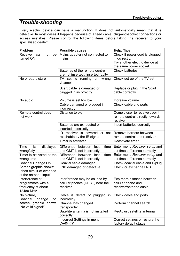# *Trouble-shooting*

Every electric device can have a malfunction. It does not automatically mean that it is defective. In most cases it happens because of a feed cable, plug-and-socket connections or access mistakes. Please control the following items before taking the receiver to your specialised dealer:

| Problem                                                                      | Possible causes                                     | Help, Tips                                                                    |
|------------------------------------------------------------------------------|-----------------------------------------------------|-------------------------------------------------------------------------------|
| Receiver<br>not<br>be<br>can                                                 | Mains adapter not connected to                      | Check if power cord is plugged                                                |
| turned ON                                                                    | mains                                               | in correctly.                                                                 |
|                                                                              |                                                     | Try another electric device at                                                |
|                                                                              |                                                     | the same power socket.                                                        |
|                                                                              | Batteries of the remote control                     | Check batteries                                                               |
|                                                                              | are not inserted / inserted faulty                  |                                                                               |
| No or bad picture                                                            | TV set is running on wrong<br>channel               | Check set up of the TV set                                                    |
|                                                                              | Scart cable is damaged or<br>plugged in incorrectly | Replace or plug in the Scart<br>cable correctly                               |
| No audio                                                                     | Volume is set too low                               | Increase volume                                                               |
|                                                                              | Cable damaged or plugged in<br>incorrectly          | Check cable and ports                                                         |
| Remote control does<br>not work                                              | Distance to big                                     | Come closer to receiver, point<br>remote control directly towards<br>receiver |
|                                                                              | Batteries are exhausted or<br>inserted incorrectly  | Insert batteries correctly                                                    |
|                                                                              | IR receiver is covered or not                       | Remove barriers between                                                       |
|                                                                              | reachable by the IR signal                          | remote control and receiver                                                   |
|                                                                              | Timer is activated                                  | Deactivate timer                                                              |
| Time<br>displayed<br>is                                                      | Difference between<br>local<br>time                 | Enter menu Receiver setup and                                                 |
| wrongfully                                                                   | and GMT is set incorrectly.                         | set time difference correctly                                                 |
| Timer is activated at the                                                    | Difference between local time                       | Enter menu Receiver setup and                                                 |
| wrong time                                                                   | and GMT is set incorrectly.                         | set time difference correctly                                                 |
| Channel Change On                                                            | Coaxial cable damaged                               | Check coaxial cable and F-plug                                                |
| Screen graphic shows:<br>"short circuit or overload<br>at the antenna input" | LNB damaged or defective                            | Check or exchange LNB                                                         |
| Interference at                                                              | Interference may be caused by                       | Eep more distance between                                                     |
| programmes with a                                                            | cellular phones (DECT) near the                     | cellular phone and                                                            |
| frequency at about                                                           | receiver                                            | receiver/antenna cable.                                                       |
| 12480 MHz                                                                    |                                                     |                                                                               |
| No picture,<br>Channel change<br>on                                          | Cable is defect or plugged in<br>incorrectly        | Check cable and ports                                                         |
| screen graphic shows<br>"No valid signal!"                                   | Channel has changed<br>transponder                  | Perform channel search                                                        |
|                                                                              | Satellite antenna is not installed<br>correctly     | Re-Adjust satellite antenna                                                   |
|                                                                              | Incorrect Settings in menu<br>"Settings"            | Correct settings or restore the<br>factory default status                     |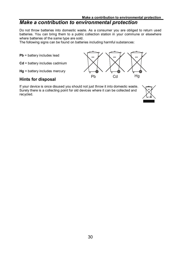# *Make a contribution to environmental protection*

Do not throw batteries into domestic waste. As a consumer you are obliged to return used batteries. You can bring them to a public collection station in your commune or elsewhere where batteries of the same type are sold.

The following signs can be found on batteries including harmful substances:

**Pb** = battery includes lead

**Cd** = battery includes cadmium

**Hg** = battery includes mercury

### **Hints for disposal**

If your device is once disused you should not just throw it into domestic waste. Surely there is a collecting point for old devices where it can be collected and recycled.